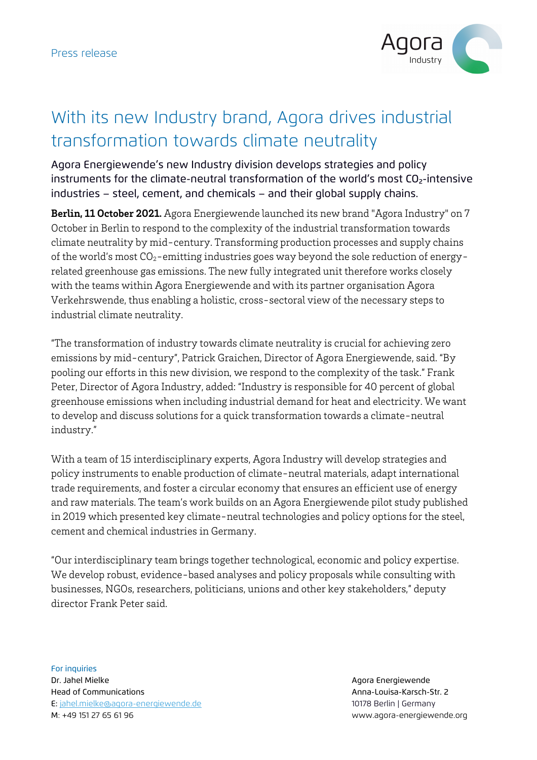

## With its new Industry brand, Agora drives industrial transformation towards climate neutrality

Agora Energiewende's new Industry division develops strategies and policy instruments for the climate-neutral transformation of the world's most CO<sub>2</sub>-intensive industries – steel, cement, and chemicals – and their global supply chains.

**Berlin, 11 October 2021.** Agora Energiewende launched its new brand "Agora Industry" on 7 October in Berlin to respond to the complexity of the industrial transformation towards climate neutrality by mid-century. Transforming production processes and supply chains of the world's most  $CO_2$ -emitting industries goes way beyond the sole reduction of energyrelated greenhouse gas emissions. The new fully integrated unit therefore works closely with the teams within Agora Energiewende and with its partner organisation Agora Verkehrswende, thus enabling a holistic, cross-sectoral view of the necessary steps to industrial climate neutrality.

"The transformation of industry towards climate neutrality is crucial for achieving zero emissions by mid-century", Patrick Graichen, Director of Agora Energiewende, said. "By pooling our efforts in this new division, we respond to the complexity of the task." Frank Peter, Director of Agora Industry, added: "Industry is responsible for 40 percent of global greenhouse emissions when including industrial demand for heat and electricity. We want to develop and discuss solutions for a quick transformation towards a climate-neutral industry."

With a team of 15 interdisciplinary experts, Agora Industry will develop strategies and policy instruments to enable production of climate-neutral materials, adapt international trade requirements, and foster a circular economy that ensures an efficient use of energy and raw materials. The team's work builds on an Agora Energiewende pilot study published in 2019 which presented key climate-neutral technologies and policy options for the steel, cement and chemical industries in Germany.

"Our interdisciplinary team brings together technological, economic and policy expertise. We develop robust, evidence-based analyses and policy proposals while consulting with businesses, NGOs, researchers, politicians, unions and other key stakeholders," deputy director Frank Peter said.

For inquiries Dr. Jahel Mielke Agora Energiewende Head of Communications Anna-Louisa-Karsch-Str. 2 E: jahel.mielke@agora-energiewende.de 10178 Berlin | Germany M: +49 151 27 65 61 96 www.agora-energiewende.org